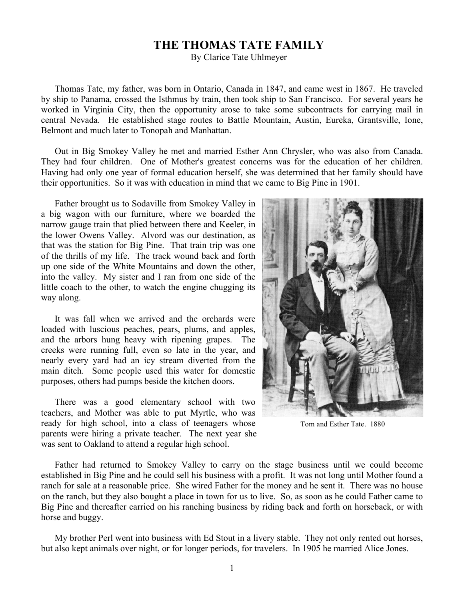## **THE THOMAS TATE FAMILY**

By Clarice Tate Uhlmeyer

Thomas Tate, my father, was born in Ontario, Canada in 1847, and came west in 1867. He traveled by ship to Panama, crossed the Isthmus by train, then took ship to San Francisco. For several years he worked in Virginia City, then the opportunity arose to take some subcontracts for carrying mail in central Nevada. He established stage routes to Battle Mountain, Austin, Eureka, Grantsville, Ione, Belmont and much later to Tonopah and Manhattan.

Out in Big Smokey Valley he met and married Esther Ann Chrysler, who was also from Canada. They had four children. One of Mother's greatest concerns was for the education of her children. Having had only one year of formal education herself, she was determined that her family should have their opportunities. So it was with education in mind that we came to Big Pine in 1901.

Father brought us to Sodaville from Smokey Valley in a big wagon with our furniture, where we boarded the narrow gauge train that plied between there and Keeler, in the lower Owens Valley. Alvord was our destination, as that was the station for Big Pine. That train trip was one of the thrills of my life. The track wound back and forth up one side of the White Mountains and down the other, into the valley. My sister and I ran from one side of the little coach to the other, to watch the engine chugging its way along.

It was fall when we arrived and the orchards were loaded with luscious peaches, pears, plums, and apples, and the arbors hung heavy with ripening grapes. The creeks were running full, even so late in the year, and nearly every yard had an icy stream diverted from the main ditch. Some people used this water for domestic purposes, others had pumps beside the kitchen doors.

There was a good elementary school with two teachers, and Mother was able to put Myrtle, who was ready for high school, into a class of teenagers whose parents were hiring a private teacher. The next year she was sent to Oakland to attend a regular high school.



Tom and Esther Tate. 1880

Father had returned to Smokey Valley to carry on the stage business until we could become established in Big Pine and he could sell his business with a profit. It was not long until Mother found a ranch for sale at a reasonable price. She wired Father for the money and he sent it. There was no house on the ranch, but they also bought a place in town for us to live. So, as soon as he could Father came to Big Pine and thereafter carried on his ranching business by riding back and forth on horseback, or with horse and buggy.

My brother Perl went into business with Ed Stout in a livery stable. They not only rented out horses, but also kept animals over night, or for longer periods, for travelers. In 1905 he married Alice Jones.